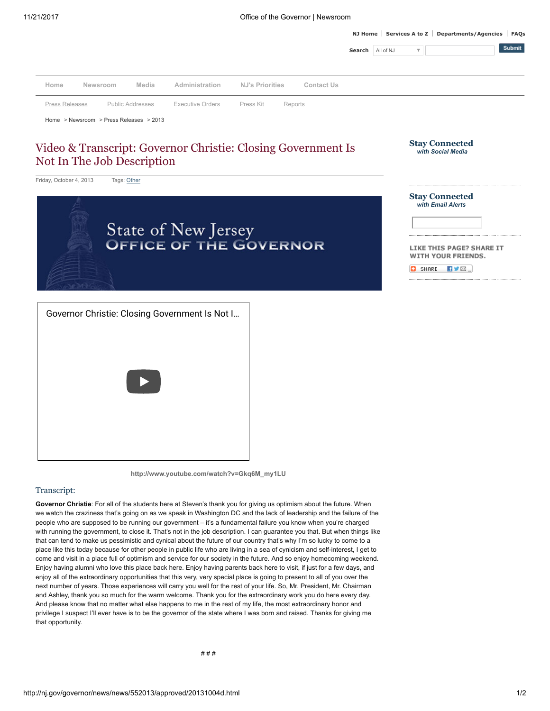[NJ Home](http://www.nj.gov/) | [Services A to Z](http://www.nj.gov/nj/gov/njgov/alphaserv.html) | [Departments/Agencies](http://www.nj.gov/nj/gov/deptserv/) | [FAQs](http://www.nj.gov/faqs/)



[http://www.youtube.com/watch?v=Gkq6M\\_my1LU](http://www.youtube.com/watch?v=Gkq6M_my1LU)

## Transcript:

Governor Christie: For all of the students here at Steven's thank you for giving us optimism about the future. When we watch the craziness that's going on as we speak in Washington DC and the lack of leadership and the failure of the people who are supposed to be running our government – it's a fundamental failure you know when you're charged with running the government, to close it. That's not in the job description. I can guarantee you that. But when things like that can tend to make us pessimistic and cynical about the future of our country that's why I'm so lucky to come to a place like this today because for other people in public life who are living in a sea of cynicism and self-interest, I get to come and visit in a place full of optimism and service for our society in the future. And so enjoy homecoming weekend. Enjoy having alumni who love this place back here. Enjoy having parents back here to visit, if just for a few days, and enjoy all of the extraordinary opportunities that this very, very special place is going to present to all of you over the next number of years. Those experiences will carry you well for the rest of your life. So, Mr. President, Mr. Chairman and Ashley, thank you so much for the warm welcome. Thank you for the extraordinary work you do here every day. And please know that no matter what else happens to me in the rest of my life, the most extraordinary honor and privilege I suspect I'll ever have is to be the governor of the state where I was born and raised. Thanks for giving me that opportunity.